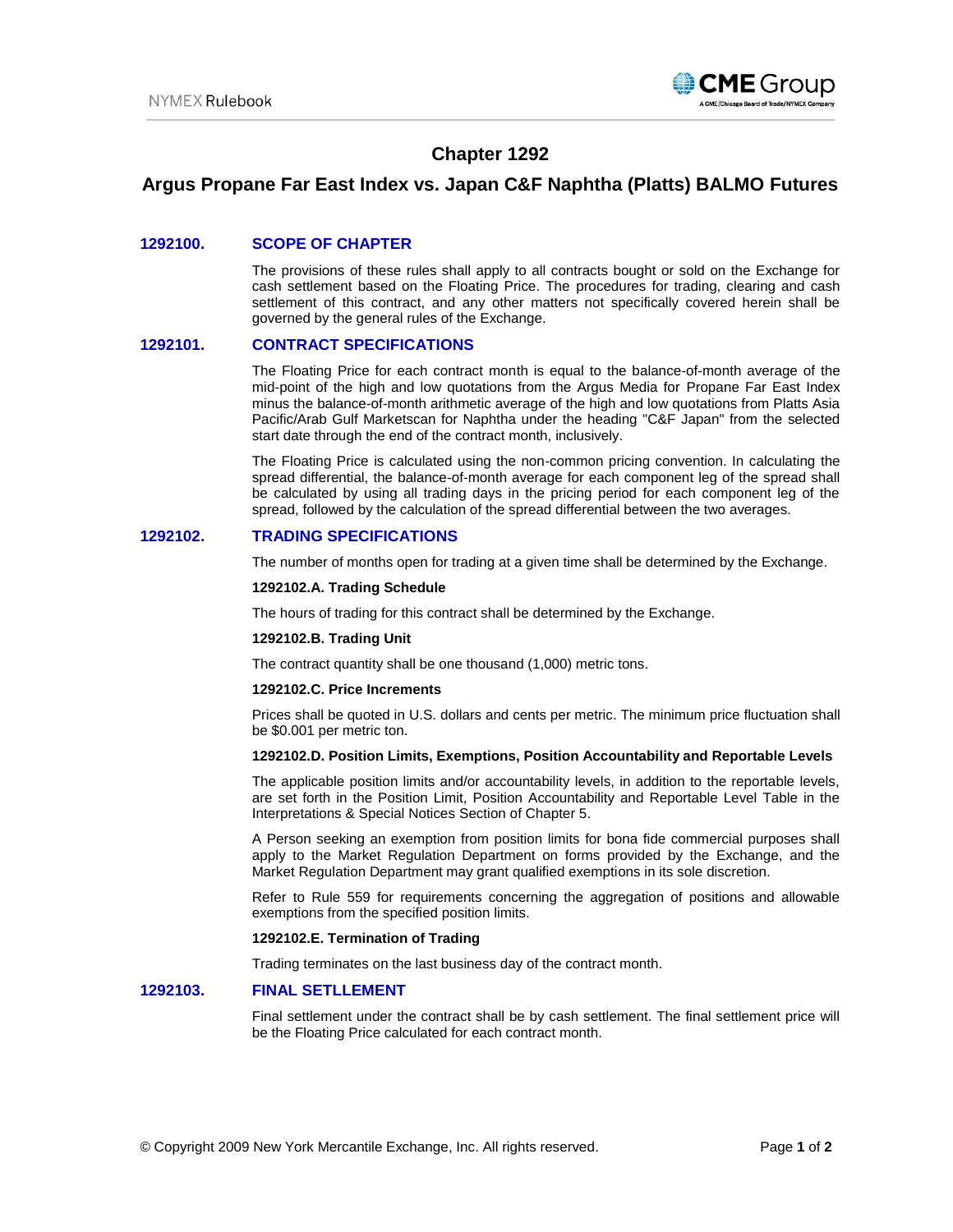

# **Chapter 1292**

# **Argus Propane Far East Index vs. Japan C&F Naphtha (Platts) BALMO Futures**

## **1292100. SCOPE OF CHAPTER**

The provisions of these rules shall apply to all contracts bought or sold on the Exchange for cash settlement based on the Floating Price. The procedures for trading, clearing and cash settlement of this contract, and any other matters not specifically covered herein shall be governed by the general rules of the Exchange.

### **1292101. CONTRACT SPECIFICATIONS**

The Floating Price for each contract month is equal to the balance-of-month average of the mid-point of the high and low quotations from the Argus Media for Propane Far East Index minus the balance-of-month arithmetic average of the high and low quotations from Platts Asia Pacific/Arab Gulf Marketscan for Naphtha under the heading "C&F Japan" from the selected start date through the end of the contract month, inclusively.

The Floating Price is calculated using the non-common pricing convention. In calculating the spread differential, the balance-of-month average for each component leg of the spread shall be calculated by using all trading days in the pricing period for each component leg of the spread, followed by the calculation of the spread differential between the two averages.

## **1292102. TRADING SPECIFICATIONS**

The number of months open for trading at a given time shall be determined by the Exchange.

### **1292102.A. Trading Schedule**

The hours of trading for this contract shall be determined by the Exchange.

#### **1292102.B. Trading Unit**

The contract quantity shall be one thousand (1,000) metric tons.

#### **1292102.C. Price Increments**

Prices shall be quoted in U.S. dollars and cents per metric. The minimum price fluctuation shall be \$0.001 per metric ton.

#### **1292102.D. Position Limits, Exemptions, Position Accountability and Reportable Levels**

The applicable position limits and/or accountability levels, in addition to the reportable levels, are set forth in the Position Limit, Position Accountability and Reportable Level Table in the Interpretations & Special Notices Section of Chapter 5.

A Person seeking an exemption from position limits for bona fide commercial purposes shall apply to the Market Regulation Department on forms provided by the Exchange, and the Market Regulation Department may grant qualified exemptions in its sole discretion.

Refer to Rule 559 for requirements concerning the aggregation of positions and allowable exemptions from the specified position limits.

#### **1292102.E. Termination of Trading**

Trading terminates on the last business day of the contract month.

### **1292103. FINAL SETLLEMENT**

Final settlement under the contract shall be by cash settlement. The final settlement price will be the Floating Price calculated for each contract month.